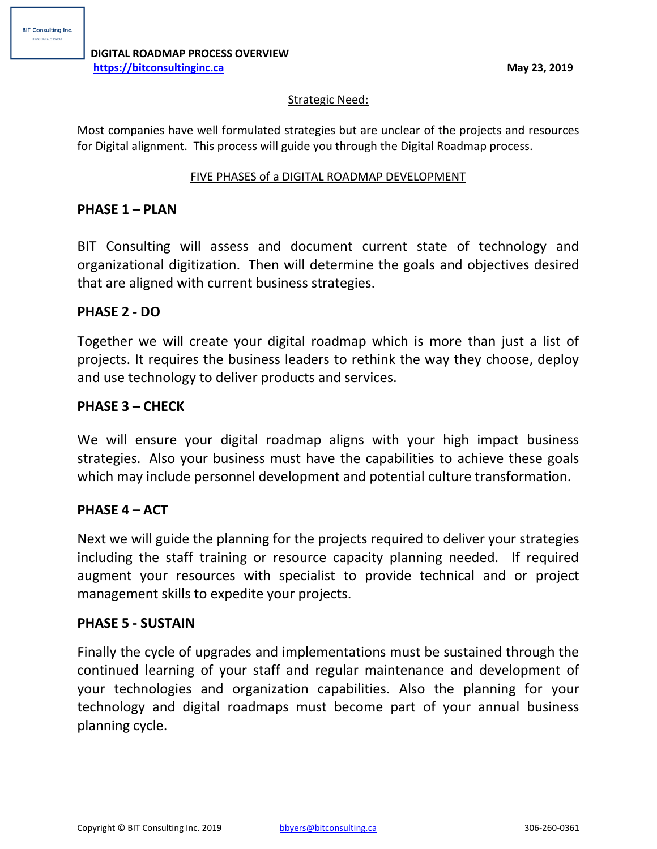### Strategic Need:

Most companies have well formulated strategies but are unclear of the projects and resources for Digital alignment. This process will guide you through the Digital Roadmap process.

### FIVE PHASES of a DIGITAL ROADMAP DEVELOPMENT

## **PHASE 1 – PLAN**

BIT Consulting will assess and document current state of technology and organizational digitization. Then will determine the goals and objectives desired that are aligned with current business strategies.

## **PHASE 2 - DO**

Together we will create your digital roadmap which is more than just a list of projects. It requires the business leaders to rethink the way they choose, deploy and use technology to deliver products and services.

# **PHASE 3 – CHECK**

We will ensure your digital roadmap aligns with your high impact business strategies. Also your business must have the capabilities to achieve these goals which may include personnel development and potential culture transformation.

# **PHASE 4 – ACT**

Next we will guide the planning for the projects required to deliver your strategies including the staff training or resource capacity planning needed. If required augment your resources with specialist to provide technical and or project management skills to expedite your projects.

### **PHASE 5 - SUSTAIN**

Finally the cycle of upgrades and implementations must be sustained through the continued learning of your staff and regular maintenance and development of your technologies and organization capabilities. Also the planning for your technology and digital roadmaps must become part of your annual business planning cycle.